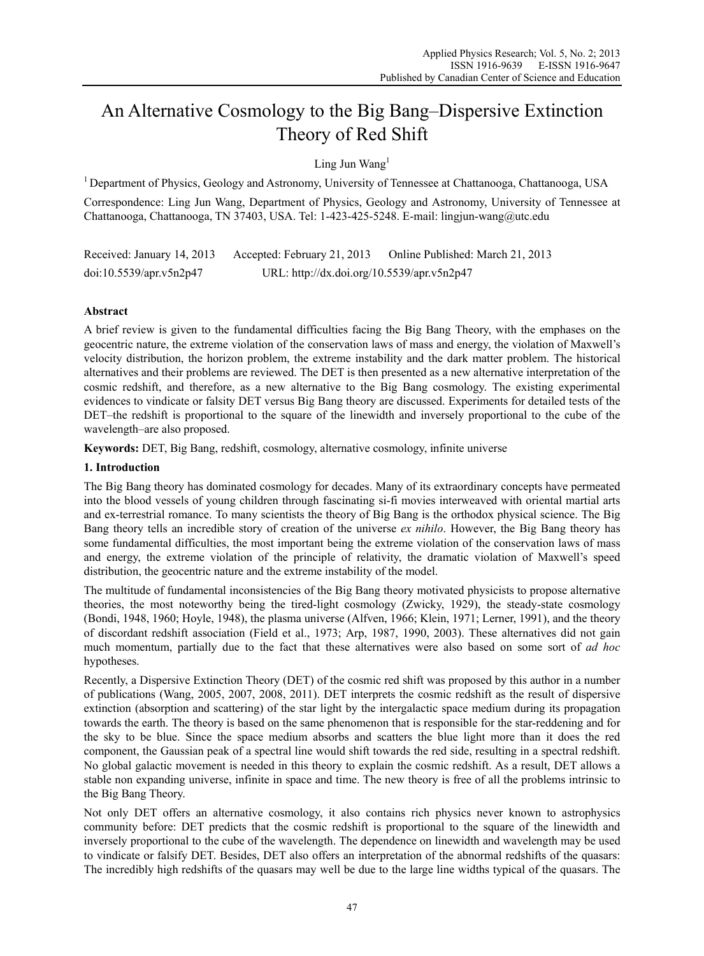# An Alternative Cosmology to the Big Bang–Dispersive Extinction Theory of Red Shift

Ling Jun Wang $<sup>1</sup>$ </sup>

1 Department of Physics, Geology and Astronomy, University of Tennessee at Chattanooga, Chattanooga, USA

Correspondence: Ling Jun Wang, Department of Physics, Geology and Astronomy, University of Tennessee at Chattanooga, Chattanooga, TN 37403, USA. Tel: 1-423-425-5248. E-mail: lingjun-wang@utc.edu

Received: January 14, 2013 Accepted: February 21, 2013 Online Published: March 21, 2013 doi:10.5539/apr.v5n2p47 URL: http://dx.doi.org/10.5539/apr.v5n2p47

# **Abstract**

A brief review is given to the fundamental difficulties facing the Big Bang Theory, with the emphases on the geocentric nature, the extreme violation of the conservation laws of mass and energy, the violation of Maxwell's velocity distribution, the horizon problem, the extreme instability and the dark matter problem. The historical alternatives and their problems are reviewed. The DET is then presented as a new alternative interpretation of the cosmic redshift, and therefore, as a new alternative to the Big Bang cosmology. The existing experimental evidences to vindicate or falsity DET versus Big Bang theory are discussed. Experiments for detailed tests of the DET–the redshift is proportional to the square of the linewidth and inversely proportional to the cube of the wavelength–are also proposed.

**Keywords:** DET, Big Bang, redshift, cosmology, alternative cosmology, infinite universe

# **1. Introduction**

The Big Bang theory has dominated cosmology for decades. Many of its extraordinary concepts have permeated into the blood vessels of young children through fascinating si-fi movies interweaved with oriental martial arts and ex-terrestrial romance. To many scientists the theory of Big Bang is the orthodox physical science. The Big Bang theory tells an incredible story of creation of the universe *ex nihilo*. However, the Big Bang theory has some fundamental difficulties, the most important being the extreme violation of the conservation laws of mass and energy, the extreme violation of the principle of relativity, the dramatic violation of Maxwell's speed distribution, the geocentric nature and the extreme instability of the model.

The multitude of fundamental inconsistencies of the Big Bang theory motivated physicists to propose alternative theories, the most noteworthy being the tired-light cosmology (Zwicky, 1929), the steady-state cosmology (Bondi, 1948, 1960; Hoyle, 1948), the plasma universe (Alfven, 1966; Klein, 1971; Lerner, 1991), and the theory of discordant redshift association (Field et al., 1973; Arp, 1987, 1990, 2003). These alternatives did not gain much momentum, partially due to the fact that these alternatives were also based on some sort of *ad hoc* hypotheses.

Recently, a Dispersive Extinction Theory (DET) of the cosmic red shift was proposed by this author in a number of publications (Wang, 2005, 2007, 2008, 2011). DET interprets the cosmic redshift as the result of dispersive extinction (absorption and scattering) of the star light by the intergalactic space medium during its propagation towards the earth. The theory is based on the same phenomenon that is responsible for the star-reddening and for the sky to be blue. Since the space medium absorbs and scatters the blue light more than it does the red component, the Gaussian peak of a spectral line would shift towards the red side, resulting in a spectral redshift. No global galactic movement is needed in this theory to explain the cosmic redshift. As a result, DET allows a stable non expanding universe, infinite in space and time. The new theory is free of all the problems intrinsic to the Big Bang Theory.

Not only DET offers an alternative cosmology, it also contains rich physics never known to astrophysics community before: DET predicts that the cosmic redshift is proportional to the square of the linewidth and inversely proportional to the cube of the wavelength. The dependence on linewidth and wavelength may be used to vindicate or falsify DET. Besides, DET also offers an interpretation of the abnormal redshifts of the quasars: The incredibly high redshifts of the quasars may well be due to the large line widths typical of the quasars. The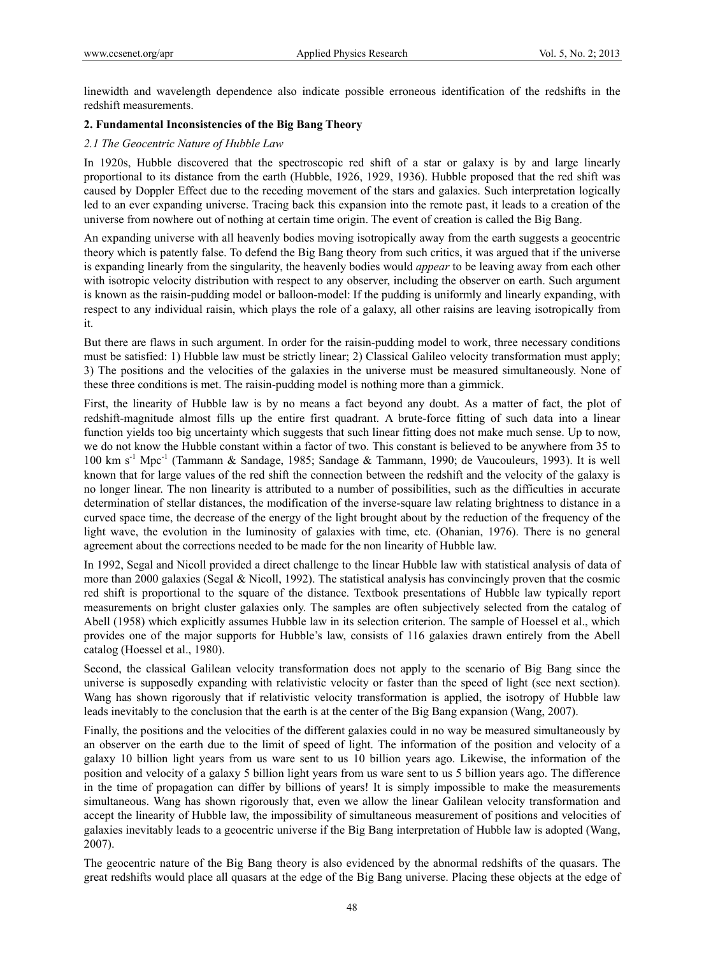linewidth and wavelength dependence also indicate possible erroneous identification of the redshifts in the redshift measurements.

## **2. Fundamental Inconsistencies of the Big Bang Theory**

## *2.1 The Geocentric Nature of Hubble Law*

In 1920s, Hubble discovered that the spectroscopic red shift of a star or galaxy is by and large linearly proportional to its distance from the earth (Hubble, 1926, 1929, 1936). Hubble proposed that the red shift was caused by Doppler Effect due to the receding movement of the stars and galaxies. Such interpretation logically led to an ever expanding universe. Tracing back this expansion into the remote past, it leads to a creation of the universe from nowhere out of nothing at certain time origin. The event of creation is called the Big Bang.

An expanding universe with all heavenly bodies moving isotropically away from the earth suggests a geocentric theory which is patently false. To defend the Big Bang theory from such critics, it was argued that if the universe is expanding linearly from the singularity, the heavenly bodies would *appear* to be leaving away from each other with isotropic velocity distribution with respect to any observer, including the observer on earth. Such argument is known as the raisin-pudding model or balloon-model: If the pudding is uniformly and linearly expanding, with respect to any individual raisin, which plays the role of a galaxy, all other raisins are leaving isotropically from it.

But there are flaws in such argument. In order for the raisin-pudding model to work, three necessary conditions must be satisfied: 1) Hubble law must be strictly linear; 2) Classical Galileo velocity transformation must apply; 3) The positions and the velocities of the galaxies in the universe must be measured simultaneously. None of these three conditions is met. The raisin-pudding model is nothing more than a gimmick.

First, the linearity of Hubble law is by no means a fact beyond any doubt. As a matter of fact, the plot of redshift-magnitude almost fills up the entire first quadrant. A brute-force fitting of such data into a linear function yields too big uncertainty which suggests that such linear fitting does not make much sense. Up to now, we do not know the Hubble constant within a factor of two. This constant is believed to be anywhere from 35 to 100 km s-1 Mpc-1 (Tammann & Sandage, 1985; Sandage & Tammann, 1990; de Vaucouleurs, 1993). It is well known that for large values of the red shift the connection between the redshift and the velocity of the galaxy is no longer linear. The non linearity is attributed to a number of possibilities, such as the difficulties in accurate determination of stellar distances, the modification of the inverse-square law relating brightness to distance in a curved space time, the decrease of the energy of the light brought about by the reduction of the frequency of the light wave, the evolution in the luminosity of galaxies with time, etc. (Ohanian, 1976). There is no general agreement about the corrections needed to be made for the non linearity of Hubble law.

In 1992, Segal and Nicoll provided a direct challenge to the linear Hubble law with statistical analysis of data of more than 2000 galaxies (Segal & Nicoll, 1992). The statistical analysis has convincingly proven that the cosmic red shift is proportional to the square of the distance. Textbook presentations of Hubble law typically report measurements on bright cluster galaxies only. The samples are often subjectively selected from the catalog of Abell (1958) which explicitly assumes Hubble law in its selection criterion. The sample of Hoessel et al., which provides one of the major supports for Hubble's law, consists of 116 galaxies drawn entirely from the Abell catalog (Hoessel et al., 1980).

Second, the classical Galilean velocity transformation does not apply to the scenario of Big Bang since the universe is supposedly expanding with relativistic velocity or faster than the speed of light (see next section). Wang has shown rigorously that if relativistic velocity transformation is applied, the isotropy of Hubble law leads inevitably to the conclusion that the earth is at the center of the Big Bang expansion (Wang, 2007).

Finally, the positions and the velocities of the different galaxies could in no way be measured simultaneously by an observer on the earth due to the limit of speed of light. The information of the position and velocity of a galaxy 10 billion light years from us ware sent to us 10 billion years ago. Likewise, the information of the position and velocity of a galaxy 5 billion light years from us ware sent to us 5 billion years ago. The difference in the time of propagation can differ by billions of years! It is simply impossible to make the measurements simultaneous. Wang has shown rigorously that, even we allow the linear Galilean velocity transformation and accept the linearity of Hubble law, the impossibility of simultaneous measurement of positions and velocities of galaxies inevitably leads to a geocentric universe if the Big Bang interpretation of Hubble law is adopted (Wang, 2007).

The geocentric nature of the Big Bang theory is also evidenced by the abnormal redshifts of the quasars. The great redshifts would place all quasars at the edge of the Big Bang universe. Placing these objects at the edge of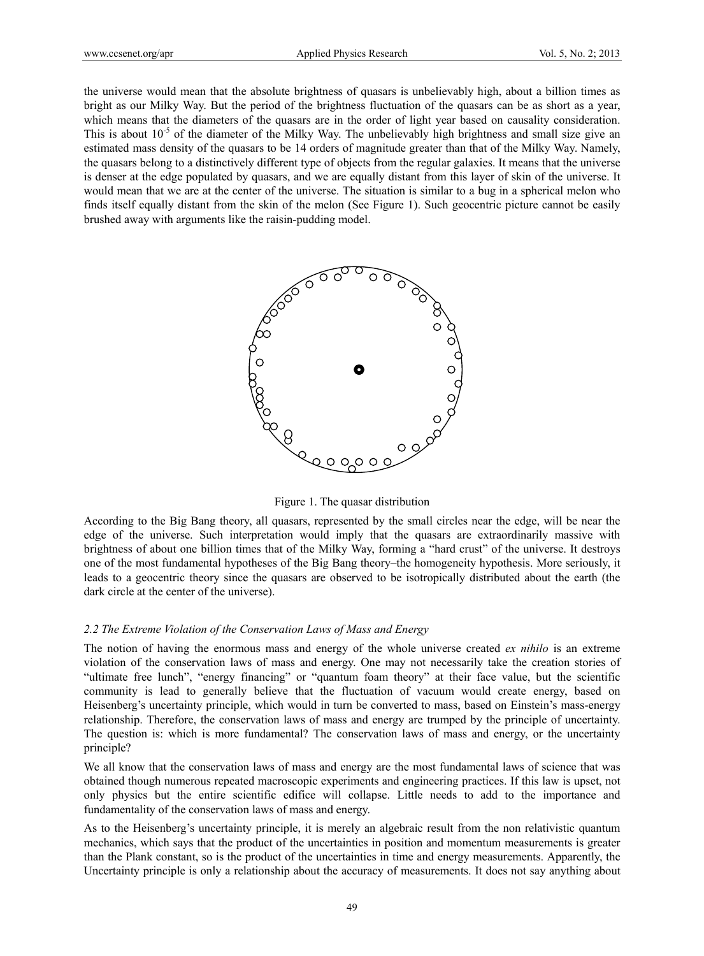the universe would mean that the absolute brightness of quasars is unbelievably high, about a billion times as bright as our Milky Way. But the period of the brightness fluctuation of the quasars can be as short as a year, which means that the diameters of the quasars are in the order of light year based on causality consideration. This is about  $10^{-5}$  of the diameter of the Milky Way. The unbelievably high brightness and small size give an estimated mass density of the quasars to be 14 orders of magnitude greater than that of the Milky Way. Namely, the quasars belong to a distinctively different type of objects from the regular galaxies. It means that the universe is denser at the edge populated by quasars, and we are equally distant from this layer of skin of the universe. It would mean that we are at the center of the universe. The situation is similar to a bug in a spherical melon who finds itself equally distant from the skin of the melon (See Figure 1). Such geocentric picture cannot be easily brushed away with arguments like the raisin-pudding model.



Figure 1. The quasar distribution

According to the Big Bang theory, all quasars, represented by the small circles near the edge, will be near the edge of the universe. Such interpretation would imply that the quasars are extraordinarily massive with brightness of about one billion times that of the Milky Way, forming a "hard crust" of the universe. It destroys one of the most fundamental hypotheses of the Big Bang theory–the homogeneity hypothesis. More seriously, it leads to a geocentric theory since the quasars are observed to be isotropically distributed about the earth (the dark circle at the center of the universe).

#### *2.2 The Extreme Violation of the Conservation Laws of Mass and Energy*

The notion of having the enormous mass and energy of the whole universe created *ex nihilo* is an extreme violation of the conservation laws of mass and energy. One may not necessarily take the creation stories of "ultimate free lunch", "energy financing" or "quantum foam theory" at their face value, but the scientific community is lead to generally believe that the fluctuation of vacuum would create energy, based on Heisenberg's uncertainty principle, which would in turn be converted to mass, based on Einstein's mass-energy relationship. Therefore, the conservation laws of mass and energy are trumped by the principle of uncertainty. The question is: which is more fundamental? The conservation laws of mass and energy, or the uncertainty principle?

We all know that the conservation laws of mass and energy are the most fundamental laws of science that was obtained though numerous repeated macroscopic experiments and engineering practices. If this law is upset, not only physics but the entire scientific edifice will collapse. Little needs to add to the importance and fundamentality of the conservation laws of mass and energy.

As to the Heisenberg's uncertainty principle, it is merely an algebraic result from the non relativistic quantum mechanics, which says that the product of the uncertainties in position and momentum measurements is greater than the Plank constant, so is the product of the uncertainties in time and energy measurements. Apparently, the Uncertainty principle is only a relationship about the accuracy of measurements. It does not say anything about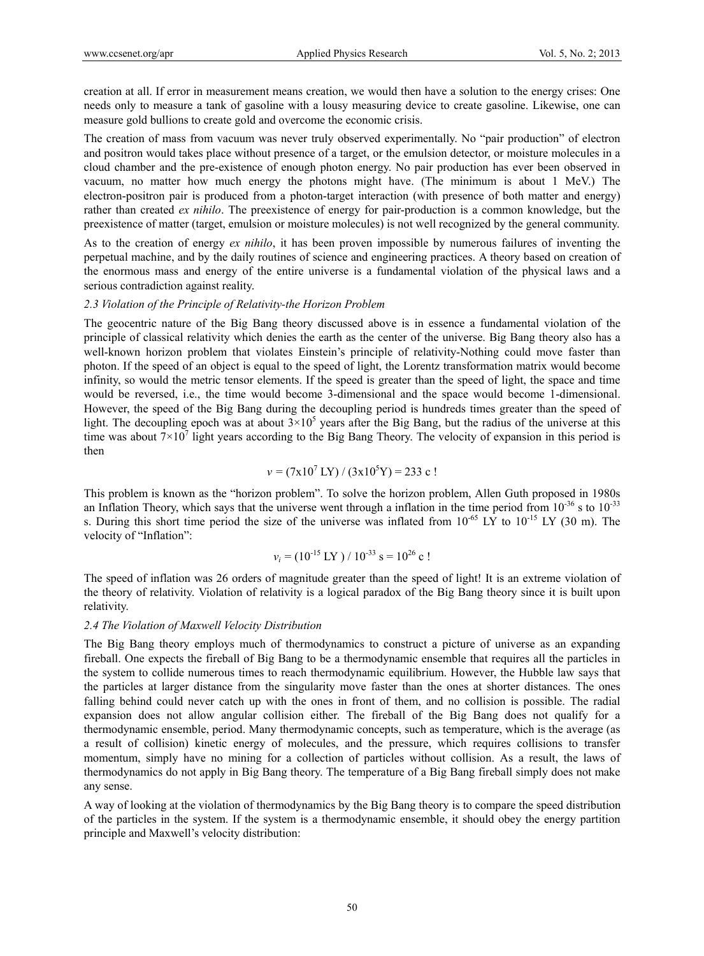creation at all. If error in measurement means creation, we would then have a solution to the energy crises: One needs only to measure a tank of gasoline with a lousy measuring device to create gasoline. Likewise, one can measure gold bullions to create gold and overcome the economic crisis.

The creation of mass from vacuum was never truly observed experimentally. No "pair production" of electron and positron would takes place without presence of a target, or the emulsion detector, or moisture molecules in a cloud chamber and the pre-existence of enough photon energy. No pair production has ever been observed in vacuum, no matter how much energy the photons might have. (The minimum is about 1 MeV.) The electron-positron pair is produced from a photon-target interaction (with presence of both matter and energy) rather than created *ex nihilo*. The preexistence of energy for pair-production is a common knowledge, but the preexistence of matter (target, emulsion or moisture molecules) is not well recognized by the general community.

As to the creation of energy *ex nihilo*, it has been proven impossible by numerous failures of inventing the perpetual machine, and by the daily routines of science and engineering practices. A theory based on creation of the enormous mass and energy of the entire universe is a fundamental violation of the physical laws and a serious contradiction against reality.

#### *2.3 Violation of the Principle of Relativity-the Horizon Problem*

The geocentric nature of the Big Bang theory discussed above is in essence a fundamental violation of the principle of classical relativity which denies the earth as the center of the universe. Big Bang theory also has a well-known horizon problem that violates Einstein's principle of relativity-Nothing could move faster than photon. If the speed of an object is equal to the speed of light, the Lorentz transformation matrix would become infinity, so would the metric tensor elements. If the speed is greater than the speed of light, the space and time would be reversed, i.e., the time would become 3-dimensional and the space would become 1-dimensional. However, the speed of the Big Bang during the decoupling period is hundreds times greater than the speed of light. The decoupling epoch was at about  $3\times10^5$  years after the Big Bang, but the radius of the universe at this time was about  $7 \times 10^7$  light years according to the Big Bang Theory. The velocity of expansion in this period is then

$$
v = (7x10^7 \text{ LY}) / (3x10^5 \text{Y}) = 233 \text{ c}!
$$

This problem is known as the "horizon problem". To solve the horizon problem, Allen Guth proposed in 1980s an Inflation Theory, which says that the universe went through a inflation in the time period from  $10^{-36}$  s to  $10^{-33}$ s. During this short time period the size of the universe was inflated from  $10^{-65}$  LY to  $10^{-15}$  LY (30 m). The velocity of "Inflation":

$$
v_i = (10^{-15} \text{ LY}) / 10^{-33} \text{ s} = 10^{26} \text{ c}!
$$

The speed of inflation was 26 orders of magnitude greater than the speed of light! It is an extreme violation of the theory of relativity. Violation of relativity is a logical paradox of the Big Bang theory since it is built upon relativity.

## *2.4 The Violation of Maxwell Velocity Distribution*

The Big Bang theory employs much of thermodynamics to construct a picture of universe as an expanding fireball. One expects the fireball of Big Bang to be a thermodynamic ensemble that requires all the particles in the system to collide numerous times to reach thermodynamic equilibrium. However, the Hubble law says that the particles at larger distance from the singularity move faster than the ones at shorter distances. The ones falling behind could never catch up with the ones in front of them, and no collision is possible. The radial expansion does not allow angular collision either. The fireball of the Big Bang does not qualify for a thermodynamic ensemble, period. Many thermodynamic concepts, such as temperature, which is the average (as a result of collision) kinetic energy of molecules, and the pressure, which requires collisions to transfer momentum, simply have no mining for a collection of particles without collision. As a result, the laws of thermodynamics do not apply in Big Bang theory. The temperature of a Big Bang fireball simply does not make any sense.

A way of looking at the violation of thermodynamics by the Big Bang theory is to compare the speed distribution of the particles in the system. If the system is a thermodynamic ensemble, it should obey the energy partition principle and Maxwell's velocity distribution: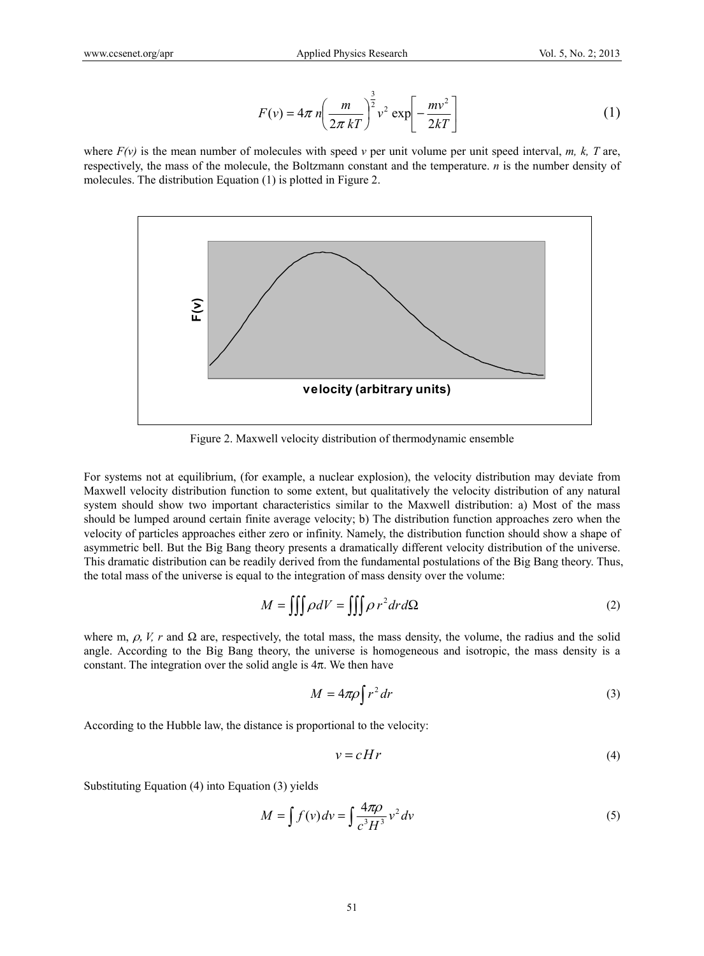$$
F(v) = 4\pi n \left(\frac{m}{2\pi kT}\right)^{\frac{3}{2}} v^2 \exp\left[-\frac{mv^2}{2kT}\right]
$$
 (1)

where  $F(v)$  is the mean number of molecules with speed *v* per unit volume per unit speed interval, *m, k, T* are, respectively, the mass of the molecule, the Boltzmann constant and the temperature. *n* is the number density of molecules. The distribution Equation (1) is plotted in Figure 2.



Figure 2. Maxwell velocity distribution of thermodynamic ensemble

For systems not at equilibrium, (for example, a nuclear explosion), the velocity distribution may deviate from Maxwell velocity distribution function to some extent, but qualitatively the velocity distribution of any natural system should show two important characteristics similar to the Maxwell distribution: a) Most of the mass should be lumped around certain finite average velocity; b) The distribution function approaches zero when the velocity of particles approaches either zero or infinity. Namely, the distribution function should show a shape of asymmetric bell. But the Big Bang theory presents a dramatically different velocity distribution of the universe. This dramatic distribution can be readily derived from the fundamental postulations of the Big Bang theory. Thus, the total mass of the universe is equal to the integration of mass density over the volume:

$$
M = \iiint \rho dV = \iiint \rho r^2 dr d\Omega
$$
 (2)

where m,  $\rho$ , V, r and  $\Omega$  are, respectively, the total mass, the mass density, the volume, the radius and the solid angle. According to the Big Bang theory, the universe is homogeneous and isotropic, the mass density is a constant. The integration over the solid angle is  $4\pi$ . We then have

$$
M = 4\pi \rho \int r^2 dr \tag{3}
$$

According to the Hubble law, the distance is proportional to the velocity:

$$
v = cHr \tag{4}
$$

Substituting Equation (4) into Equation (3) yields

$$
M = \int f(v) dv = \int \frac{4\pi \rho}{c^3 H^3} v^2 dv
$$
 (5)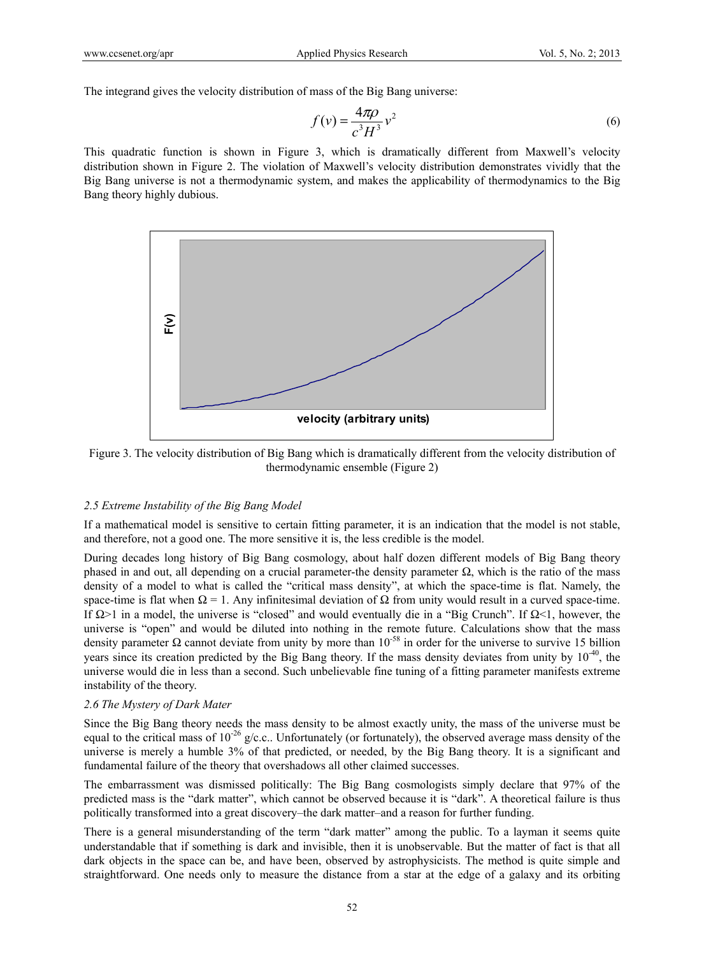The integrand gives the velocity distribution of mass of the Big Bang universe:

$$
f(v) = \frac{4\pi\rho}{c^3 H^3} v^2
$$
\n<sup>(6)</sup>

This quadratic function is shown in Figure 3, which is dramatically different from Maxwell's velocity distribution shown in Figure 2. The violation of Maxwell's velocity distribution demonstrates vividly that the Big Bang universe is not a thermodynamic system, and makes the applicability of thermodynamics to the Big Bang theory highly dubious.



Figure 3. The velocity distribution of Big Bang which is dramatically different from the velocity distribution of thermodynamic ensemble (Figure 2)

#### *2.5 Extreme Instability of the Big Bang Model*

If a mathematical model is sensitive to certain fitting parameter, it is an indication that the model is not stable, and therefore, not a good one. The more sensitive it is, the less credible is the model.

During decades long history of Big Bang cosmology, about half dozen different models of Big Bang theory phased in and out, all depending on a crucial parameter-the density parameter  $\Omega$ , which is the ratio of the mass density of a model to what is called the "critical mass density", at which the space-time is flat. Namely, the space-time is flat when  $\Omega = 1$ . Any infinitesimal deviation of  $\Omega$  from unity would result in a curved space-time. If  $\Omega > 1$  in a model, the universe is "closed" and would eventually die in a "Big Crunch". If  $\Omega < 1$ , however, the universe is "open" and would be diluted into nothing in the remote future. Calculations show that the mass density parameter  $\Omega$  cannot deviate from unity by more than 10<sup>-58</sup> in order for the universe to survive 15 billion years since its creation predicted by the Big Bang theory. If the mass density deviates from unity by  $10^{-40}$ , the universe would die in less than a second. Such unbelievable fine tuning of a fitting parameter manifests extreme instability of the theory.

#### *2.6 The Mystery of Dark Mater*

Since the Big Bang theory needs the mass density to be almost exactly unity, the mass of the universe must be equal to the critical mass of  $10^{-26}$  g/c.c.. Unfortunately (or fortunately), the observed average mass density of the universe is merely a humble 3% of that predicted, or needed, by the Big Bang theory. It is a significant and fundamental failure of the theory that overshadows all other claimed successes.

The embarrassment was dismissed politically: The Big Bang cosmologists simply declare that 97% of the predicted mass is the "dark matter", which cannot be observed because it is "dark". A theoretical failure is thus politically transformed into a great discovery–the dark matter–and a reason for further funding.

There is a general misunderstanding of the term "dark matter" among the public. To a layman it seems quite understandable that if something is dark and invisible, then it is unobservable. But the matter of fact is that all dark objects in the space can be, and have been, observed by astrophysicists. The method is quite simple and straightforward. One needs only to measure the distance from a star at the edge of a galaxy and its orbiting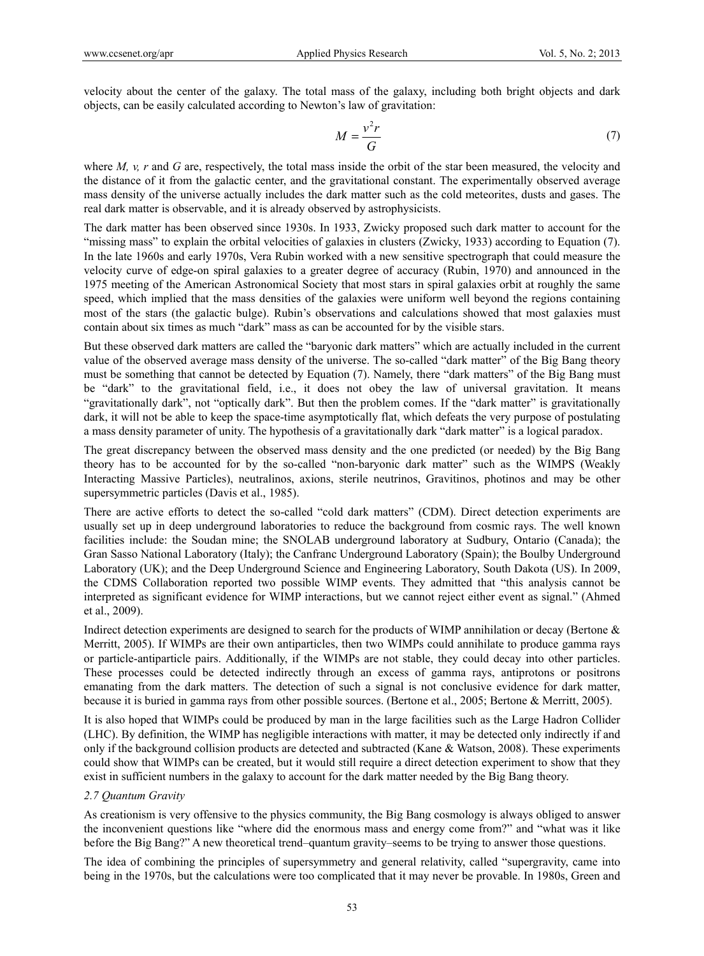velocity about the center of the galaxy. The total mass of the galaxy, including both bright objects and dark objects, can be easily calculated according to Newton's law of gravitation:

$$
M = \frac{v^2 r}{G} \tag{7}
$$

where *M, v, r* and *G* are, respectively, the total mass inside the orbit of the star been measured, the velocity and the distance of it from the galactic center, and the gravitational constant. The experimentally observed average mass density of the universe actually includes the dark matter such as the cold meteorites, dusts and gases. The real dark matter is observable, and it is already observed by astrophysicists.

The dark matter has been observed since 1930s. In 1933, Zwicky proposed such dark matter to account for the "missing mass" to explain the orbital velocities of galaxies in clusters (Zwicky, 1933) according to Equation (7). In the late 1960s and early 1970s, Vera Rubin worked with a new sensitive spectrograph that could measure the velocity curve of edge-on spiral galaxies to a greater degree of accuracy (Rubin, 1970) and announced in the 1975 meeting of the American Astronomical Society that most stars in spiral galaxies orbit at roughly the same speed, which implied that the mass densities of the galaxies were uniform well beyond the regions containing most of the stars (the galactic bulge). Rubin's observations and calculations showed that most galaxies must contain about six times as much "dark" mass as can be accounted for by the visible stars.

But these observed dark matters are called the "baryonic dark matters" which are actually included in the current value of the observed average mass density of the universe. The so-called "dark matter" of the Big Bang theory must be something that cannot be detected by Equation (7). Namely, there "dark matters" of the Big Bang must be "dark" to the gravitational field, i.e., it does not obey the law of universal gravitation. It means "gravitationally dark", not "optically dark". But then the problem comes. If the "dark matter" is gravitationally dark, it will not be able to keep the space-time asymptotically flat, which defeats the very purpose of postulating a mass density parameter of unity. The hypothesis of a gravitationally dark "dark matter" is a logical paradox.

The great discrepancy between the observed mass density and the one predicted (or needed) by the Big Bang theory has to be accounted for by the so-called "non-baryonic dark matter" such as the WIMPS (Weakly Interacting Massive Particles), neutralinos, axions, sterile neutrinos, Gravitinos, photinos and may be other supersymmetric particles (Davis et al., 1985).

There are active efforts to detect the so-called "cold dark matters" (CDM). Direct detection experiments are usually set up in deep underground laboratories to reduce the background from cosmic rays. The well known facilities include: the Soudan mine; the SNOLAB underground laboratory at Sudbury, Ontario (Canada); the Gran Sasso National Laboratory (Italy); the Canfranc Underground Laboratory (Spain); the Boulby Underground Laboratory (UK); and the Deep Underground Science and Engineering Laboratory, South Dakota (US). In 2009, the CDMS Collaboration reported two possible WIMP events. They admitted that "this analysis cannot be interpreted as significant evidence for WIMP interactions, but we cannot reject either event as signal." (Ahmed et al., 2009).

Indirect detection experiments are designed to search for the products of WIMP annihilation or decay (Bertone & Merritt, 2005). If WIMPs are their own antiparticles, then two WIMPs could annihilate to produce gamma rays or particle-antiparticle pairs. Additionally, if the WIMPs are not stable, they could decay into other particles. These processes could be detected indirectly through an excess of gamma rays, antiprotons or positrons emanating from the dark matters. The detection of such a signal is not conclusive evidence for dark matter, because it is buried in gamma rays from other possible sources. (Bertone et al., 2005; Bertone & Merritt, 2005).

It is also hoped that WIMPs could be produced by man in the large facilities such as the Large Hadron Collider (LHC). By definition, the WIMP has negligible interactions with matter, it may be detected only indirectly if and only if the background collision products are detected and subtracted (Kane & Watson, 2008). These experiments could show that WIMPs can be created, but it would still require a direct detection experiment to show that they exist in sufficient numbers in the galaxy to account for the dark matter needed by the Big Bang theory.

## *2.7 Quantum Gravity*

As creationism is very offensive to the physics community, the Big Bang cosmology is always obliged to answer the inconvenient questions like "where did the enormous mass and energy come from?" and "what was it like before the Big Bang?" A new theoretical trend–quantum gravity–seems to be trying to answer those questions.

The idea of combining the principles of supersymmetry and general relativity, called "supergravity, came into being in the 1970s, but the calculations were too complicated that it may never be provable. In 1980s, Green and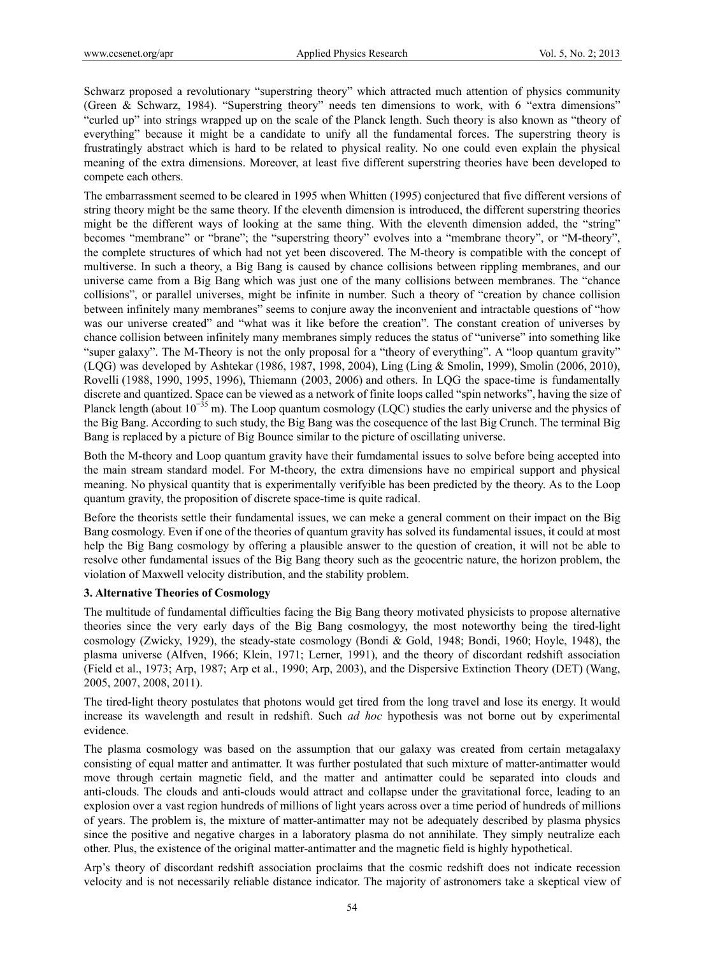Schwarz proposed a revolutionary "superstring theory" which attracted much attention of physics community (Green & Schwarz, 1984). "Superstring theory" needs ten dimensions to work, with 6 "extra dimensions" "curled up" into strings wrapped up on the scale of the Planck length. Such theory is also known as "theory of everything" because it might be a candidate to unify all the fundamental forces. The superstring theory is frustratingly abstract which is hard to be related to physical reality. No one could even explain the physical meaning of the extra dimensions. Moreover, at least five different superstring theories have been developed to compete each others.

The embarrassment seemed to be cleared in 1995 when Whitten (1995) conjectured that five different versions of string theory might be the same theory. If the eleventh dimension is introduced, the different superstring theories might be the different ways of looking at the same thing. With the eleventh dimension added, the "string" becomes "membrane" or "brane"; the "superstring theory" evolves into a "membrane theory", or "M-theory", the complete structures of which had not yet been discovered. The M-theory is compatible with the concept of multiverse. In such a theory, a Big Bang is caused by chance collisions between rippling membranes, and our universe came from a Big Bang which was just one of the many collisions between membranes. The "chance collisions", or parallel universes, might be infinite in number. Such a theory of "creation by chance collision between infinitely many membranes" seems to conjure away the inconvenient and intractable questions of "how was our universe created" and "what was it like before the creation". The constant creation of universes by chance collision between infinitely many membranes simply reduces the status of "universe" into something like "super galaxy". The M-Theory is not the only proposal for a "theory of everything". A "loop quantum gravity" (LQG) was developed by Ashtekar (1986, 1987, 1998, 2004), Ling (Ling & Smolin, 1999), Smolin (2006, 2010), Rovelli (1988, 1990, 1995, 1996), Thiemann (2003, 2006) and others. In LQG the space-time is fundamentally discrete and quantized. Space can be viewed as a network of finite loops called "spin networks", having the size of Planck length (about 10<sup>-35</sup> m). The Loop quantum cosmology (LQC) studies the early universe and the physics of the Big Bang. According to such study, the Big Bang was the cosequence of the last Big Crunch. The terminal Big Bang is replaced by a picture of Big Bounce similar to the picture of oscillating universe.

Both the M-theory and Loop quantum gravity have their fumdamental issues to solve before being accepted into the main stream standard model. For M-theory, the extra dimensions have no empirical support and physical meaning. No physical quantity that is experimentally verifyible has been predicted by the theory. As to the Loop quantum gravity, the proposition of discrete space-time is quite radical.

Before the theorists settle their fundamental issues, we can meke a general comment on their impact on the Big Bang cosmology. Even if one of the theories of quantum gravity has solved its fundamental issues, it could at most help the Big Bang cosmology by offering a plausible answer to the question of creation, it will not be able to resolve other fundamental issues of the Big Bang theory such as the geocentric nature, the horizon problem, the violation of Maxwell velocity distribution, and the stability problem.

# **3. Alternative Theories of Cosmology**

The multitude of fundamental difficulties facing the Big Bang theory motivated physicists to propose alternative theories since the very early days of the Big Bang cosmologyy, the most noteworthy being the tired-light cosmology (Zwicky, 1929), the steady-state cosmology (Bondi & Gold, 1948; Bondi, 1960; Hoyle, 1948), the plasma universe (Alfven, 1966; Klein, 1971; Lerner, 1991), and the theory of discordant redshift association (Field et al., 1973; Arp, 1987; Arp et al., 1990; Arp, 2003), and the Dispersive Extinction Theory (DET) (Wang, 2005, 2007, 2008, 2011).

The tired-light theory postulates that photons would get tired from the long travel and lose its energy. It would increase its wavelength and result in redshift. Such *ad hoc* hypothesis was not borne out by experimental evidence.

The plasma cosmology was based on the assumption that our galaxy was created from certain metagalaxy consisting of equal matter and antimatter. It was further postulated that such mixture of matter-antimatter would move through certain magnetic field, and the matter and antimatter could be separated into clouds and anti-clouds. The clouds and anti-clouds would attract and collapse under the gravitational force, leading to an explosion over a vast region hundreds of millions of light years across over a time period of hundreds of millions of years. The problem is, the mixture of matter-antimatter may not be adequately described by plasma physics since the positive and negative charges in a laboratory plasma do not annihilate. They simply neutralize each other. Plus, the existence of the original matter-antimatter and the magnetic field is highly hypothetical.

Arp's theory of discordant redshift association proclaims that the cosmic redshift does not indicate recession velocity and is not necessarily reliable distance indicator. The majority of astronomers take a skeptical view of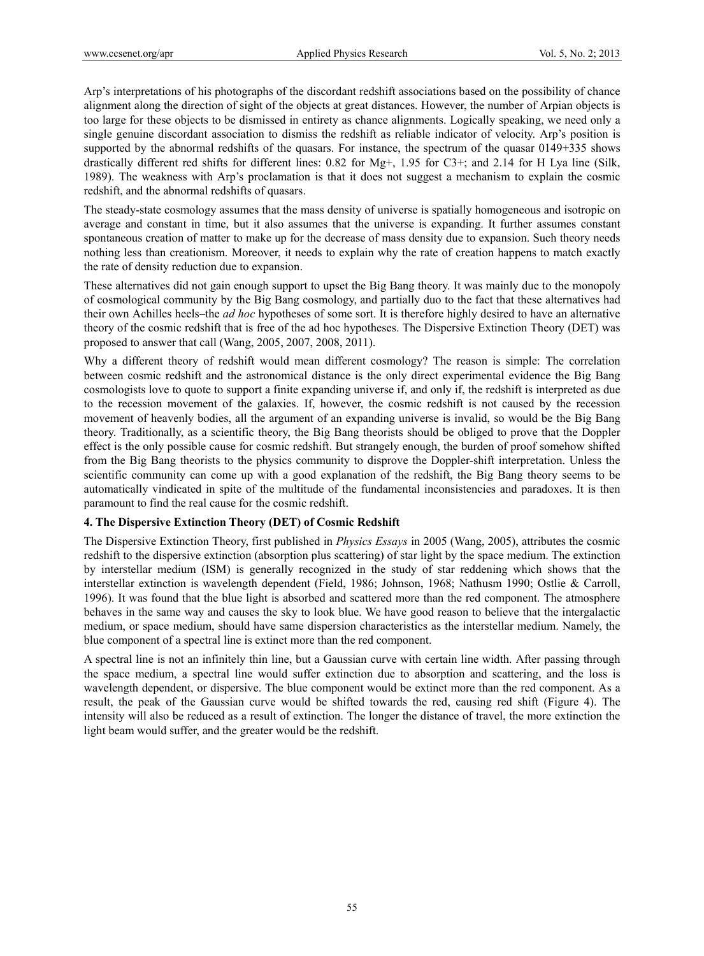Arp's interpretations of his photographs of the discordant redshift associations based on the possibility of chance alignment along the direction of sight of the objects at great distances. However, the number of Arpian objects is too large for these objects to be dismissed in entirety as chance alignments. Logically speaking, we need only a single genuine discordant association to dismiss the redshift as reliable indicator of velocity. Arp's position is supported by the abnormal redshifts of the quasars. For instance, the spectrum of the quasar 0149+335 shows drastically different red shifts for different lines: 0.82 for Mg+, 1.95 for C3+; and 2.14 for H Lya line (Silk, 1989). The weakness with Arp's proclamation is that it does not suggest a mechanism to explain the cosmic redshift, and the abnormal redshifts of quasars.

The steady-state cosmology assumes that the mass density of universe is spatially homogeneous and isotropic on average and constant in time, but it also assumes that the universe is expanding. It further assumes constant spontaneous creation of matter to make up for the decrease of mass density due to expansion. Such theory needs nothing less than creationism. Moreover, it needs to explain why the rate of creation happens to match exactly the rate of density reduction due to expansion.

These alternatives did not gain enough support to upset the Big Bang theory. It was mainly due to the monopoly of cosmological community by the Big Bang cosmology, and partially duo to the fact that these alternatives had their own Achilles heels–the *ad hoc* hypotheses of some sort. It is therefore highly desired to have an alternative theory of the cosmic redshift that is free of the ad hoc hypotheses. The Dispersive Extinction Theory (DET) was proposed to answer that call (Wang, 2005, 2007, 2008, 2011).

Why a different theory of redshift would mean different cosmology? The reason is simple: The correlation between cosmic redshift and the astronomical distance is the only direct experimental evidence the Big Bang cosmologists love to quote to support a finite expanding universe if, and only if, the redshift is interpreted as due to the recession movement of the galaxies. If, however, the cosmic redshift is not caused by the recession movement of heavenly bodies, all the argument of an expanding universe is invalid, so would be the Big Bang theory. Traditionally, as a scientific theory, the Big Bang theorists should be obliged to prove that the Doppler effect is the only possible cause for cosmic redshift. But strangely enough, the burden of proof somehow shifted from the Big Bang theorists to the physics community to disprove the Doppler-shift interpretation. Unless the scientific community can come up with a good explanation of the redshift, the Big Bang theory seems to be automatically vindicated in spite of the multitude of the fundamental inconsistencies and paradoxes. It is then paramount to find the real cause for the cosmic redshift.

## **4. The Dispersive Extinction Theory (DET) of Cosmic Redshift**

The Dispersive Extinction Theory, first published in *Physics Essays* in 2005 (Wang, 2005), attributes the cosmic redshift to the dispersive extinction (absorption plus scattering) of star light by the space medium. The extinction by interstellar medium (ISM) is generally recognized in the study of star reddening which shows that the interstellar extinction is wavelength dependent (Field, 1986; Johnson, 1968; Nathusm 1990; Ostlie & Carroll, 1996). It was found that the blue light is absorbed and scattered more than the red component. The atmosphere behaves in the same way and causes the sky to look blue. We have good reason to believe that the intergalactic medium, or space medium, should have same dispersion characteristics as the interstellar medium. Namely, the blue component of a spectral line is extinct more than the red component.

A spectral line is not an infinitely thin line, but a Gaussian curve with certain line width. After passing through the space medium, a spectral line would suffer extinction due to absorption and scattering, and the loss is wavelength dependent, or dispersive. The blue component would be extinct more than the red component. As a result, the peak of the Gaussian curve would be shifted towards the red, causing red shift (Figure 4). The intensity will also be reduced as a result of extinction. The longer the distance of travel, the more extinction the light beam would suffer, and the greater would be the redshift.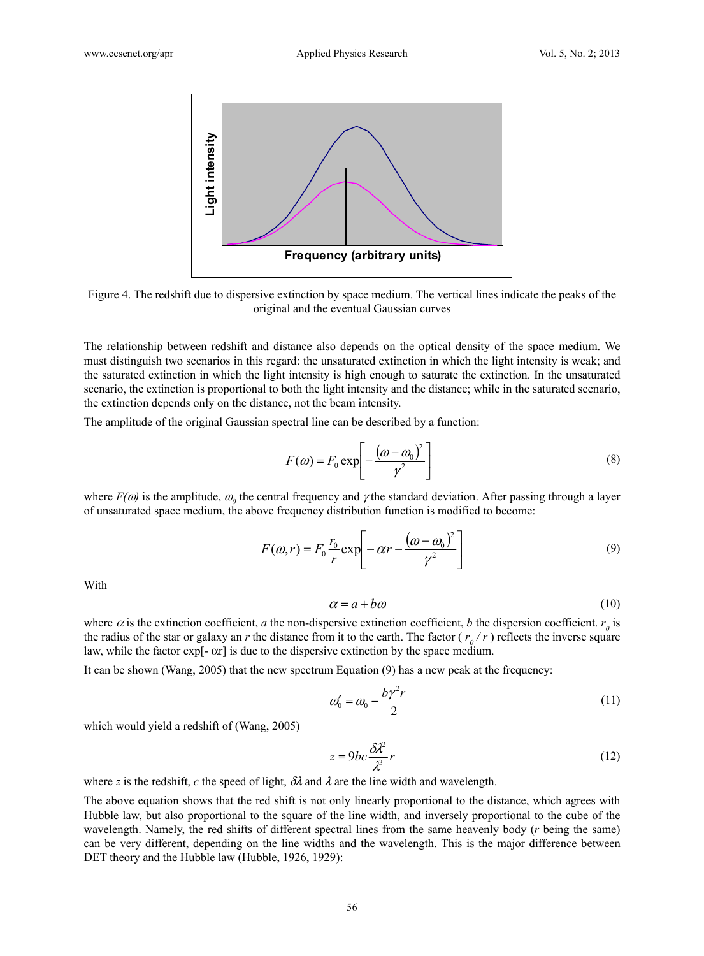

Figure 4. The redshift due to dispersive extinction by space medium. The vertical lines indicate the peaks of the original and the eventual Gaussian curves

The relationship between redshift and distance also depends on the optical density of the space medium. We must distinguish two scenarios in this regard: the unsaturated extinction in which the light intensity is weak; and the saturated extinction in which the light intensity is high enough to saturate the extinction. In the unsaturated scenario, the extinction is proportional to both the light intensity and the distance; while in the saturated scenario, the extinction depends only on the distance, not the beam intensity.

The amplitude of the original Gaussian spectral line can be described by a function:

$$
F(\omega) = F_0 \exp\left[-\frac{(\omega - \omega_0)^2}{\gamma^2}\right]
$$
 (8)

where  $F(\omega)$  is the amplitude,  $\omega_0$  the central frequency and  $\gamma$  the standard deviation. After passing through a layer of unsaturated space medium, the above frequency distribution function is modified to become:

$$
F(\omega, r) = F_0 \frac{r_0}{r} \exp\left[-\alpha r - \frac{(\omega - \omega_0)^2}{\gamma^2}\right]
$$
\n(9)

With

$$
\alpha = a + b\omega \tag{10}
$$

where  $\alpha$  is the extinction coefficient,  $a$  the non-dispersive extinction coefficient,  $b$  the dispersion coefficient.  $r_0$  is the radius of the star or galaxy an *r* the distance from it to the earth. The factor  $(r_0/r)$  reflects the inverse square law, while the factor exp[ $- \alpha r$ ] is due to the dispersive extinction by the space medium.

It can be shown (Wang, 2005) that the new spectrum Equation (9) has a new peak at the frequency:

$$
\omega_0' = \omega_0 - \frac{b\gamma^2 r}{2} \tag{11}
$$

which would yield a redshift of (Wang, 2005)

$$
z = 9bc \frac{\delta \lambda^2}{\lambda^3} r \tag{12}
$$

where *z* is the redshift, *c* the speed of light,  $\delta\lambda$  and  $\lambda$  are the line width and wavelength.

The above equation shows that the red shift is not only linearly proportional to the distance, which agrees with Hubble law, but also proportional to the square of the line width, and inversely proportional to the cube of the wavelength. Namely, the red shifts of different spectral lines from the same heavenly body (*r* being the same) can be very different, depending on the line widths and the wavelength. This is the major difference between DET theory and the Hubble law (Hubble, 1926, 1929):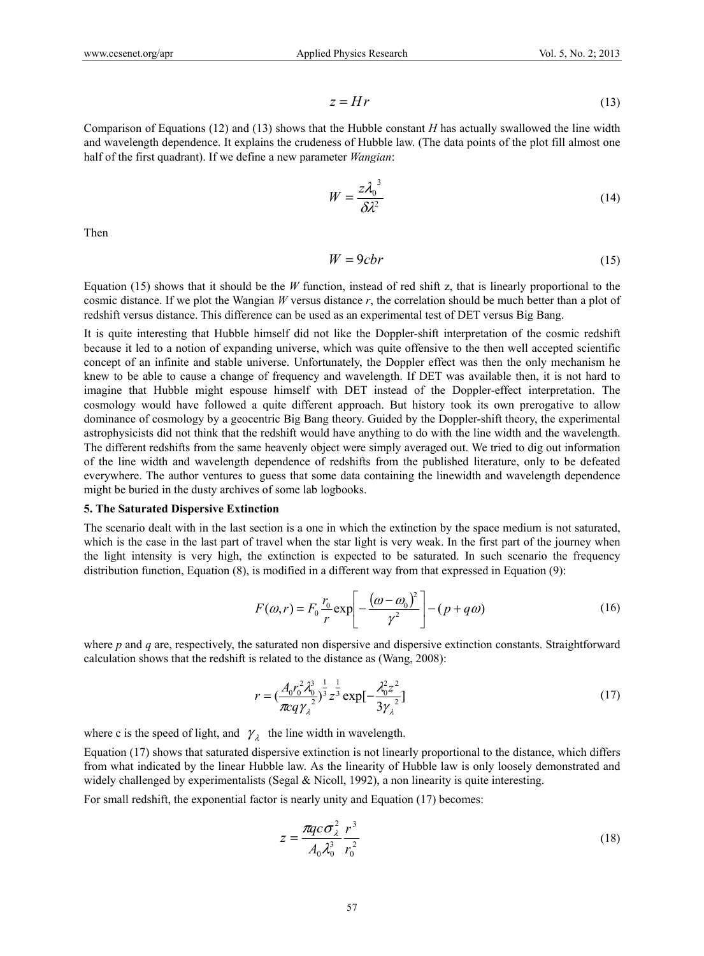$$
z = Hr \tag{13}
$$

Comparison of Equations (12) and (13) shows that the Hubble constant *H* has actually swallowed the line width and wavelength dependence. It explains the crudeness of Hubble law. (The data points of the plot fill almost one half of the first quadrant). If we define a new parameter *Wangian*:

$$
W = \frac{z\lambda_0^3}{\delta\lambda^2} \tag{14}
$$

Then

$$
W = 9 \, \text{cbr} \tag{15}
$$

Equation (15) shows that it should be the *W* function, instead of red shift z, that is linearly proportional to the cosmic distance. If we plot the Wangian *W* versus distance *r*, the correlation should be much better than a plot of redshift versus distance. This difference can be used as an experimental test of DET versus Big Bang.

It is quite interesting that Hubble himself did not like the Doppler-shift interpretation of the cosmic redshift because it led to a notion of expanding universe, which was quite offensive to the then well accepted scientific concept of an infinite and stable universe. Unfortunately, the Doppler effect was then the only mechanism he knew to be able to cause a change of frequency and wavelength. If DET was available then, it is not hard to imagine that Hubble might espouse himself with DET instead of the Doppler-effect interpretation. The cosmology would have followed a quite different approach. But history took its own prerogative to allow dominance of cosmology by a geocentric Big Bang theory. Guided by the Doppler-shift theory, the experimental astrophysicists did not think that the redshift would have anything to do with the line width and the wavelength. The different redshifts from the same heavenly object were simply averaged out. We tried to dig out information of the line width and wavelength dependence of redshifts from the published literature, only to be defeated everywhere. The author ventures to guess that some data containing the linewidth and wavelength dependence might be buried in the dusty archives of some lab logbooks.

#### **5. The Saturated Dispersive Extinction**

The scenario dealt with in the last section is a one in which the extinction by the space medium is not saturated, which is the case in the last part of travel when the star light is very weak. In the first part of the journey when the light intensity is very high, the extinction is expected to be saturated. In such scenario the frequency distribution function, Equation (8), is modified in a different way from that expressed in Equation (9):

$$
F(\omega, r) = F_0 \frac{r_0}{r} \exp\left[-\frac{(\omega - \omega_0)^2}{\gamma^2}\right] - (p + q\omega)
$$
 (16)

where *p* and *q* are, respectively, the saturated non dispersive and dispersive extinction constants. Straightforward calculation shows that the redshift is related to the distance as (Wang, 2008):

$$
r = \left(\frac{A_0 r_0^2 \lambda_0^3}{\pi c q \gamma_{\lambda}^2}\right)^{\frac{1}{3}} z^{\frac{1}{3}} \exp\left[-\frac{\lambda_0^2 z^2}{3 \gamma_{\lambda}^2}\right]
$$
(17)

where c is the speed of light, and  $\gamma_{\lambda}$  the line width in wavelength.

Equation (17) shows that saturated dispersive extinction is not linearly proportional to the distance, which differs from what indicated by the linear Hubble law. As the linearity of Hubble law is only loosely demonstrated and widely challenged by experimentalists (Segal & Nicoll, 1992), a non linearity is quite interesting.

For small redshift, the exponential factor is nearly unity and Equation (17) becomes:

$$
z = \frac{\pi q c \sigma_{\lambda}^2}{A_0 \lambda_0^3} \frac{r^3}{r_0^2}
$$
 (18)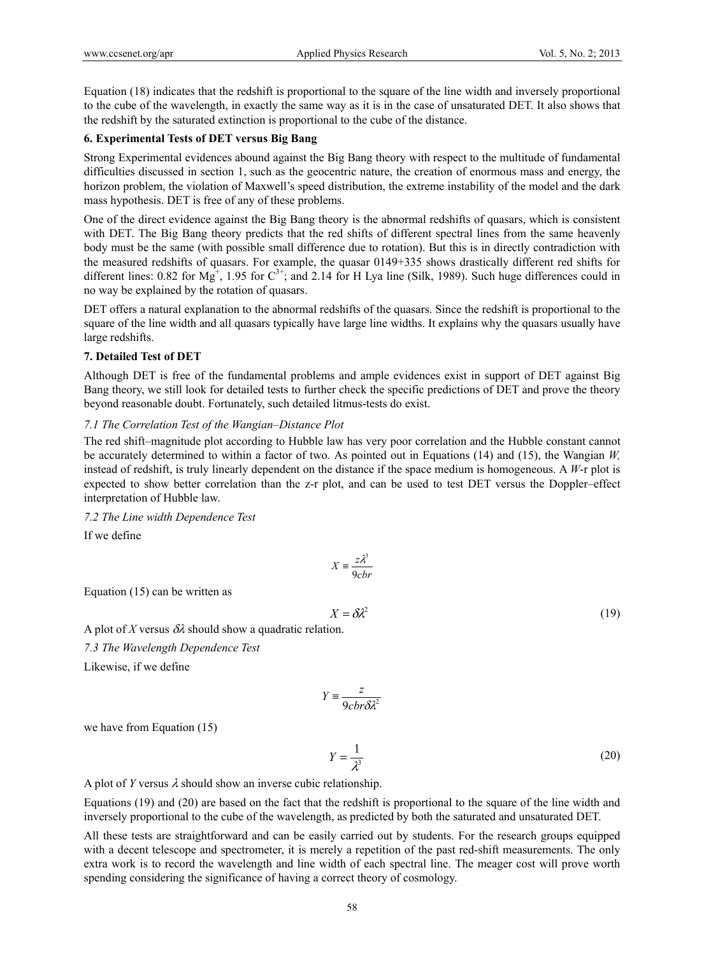Equation (18) indicates that the redshift is proportional to the square of the line width and inversely proportional to the cube of the wavelength, in exactly the same way as it is in the case of unsaturated DET. It also shows that the redshift by the saturated extinction is proportional to the cube of the distance.

# **6. Experimental Tests of DET versus Big Bang**

Strong Experimental evidences abound against the Big Bang theory with respect to the multitude of fundamental difficulties discussed in section 1, such as the geocentric nature, the creation of enormous mass and energy, the horizon problem, the violation of Maxwell's speed distribution, the extreme instability of the model and the dark mass hypothesis. DET is free of any of these problems.

One of the direct evidence against the Big Bang theory is the abnormal redshifts of quasars, which is consistent with DET. The Big Bang theory predicts that the red shifts of different spectral lines from the same heavenly body must be the same (with possible small difference due to rotation). But this is in directly contradiction with the measured redshifts of quasars. For example, the quasar 0149+335 shows drastically different red shifts for different lines: 0.82 for  $Mg^{+}$ , 1.95 for  $C^{3+}$ ; and 2.14 for H Lya line (Silk, 1989). Such huge differences could in no way be explained by the rotation of quasars.

DET offers a natural explanation to the abnormal redshifts of the quasars. Since the redshift is proportional to the square of the line width and all quasars typically have large line widths. It explains why the quasars usually have large redshifts.

## **7. Detailed Test of DET**

Although DET is free of the fundamental problems and ample evidences exist in support of DET against Big Bang theory, we still look for detailed tests to further check the specific predictions of DET and prove the theory beyond reasonable doubt. Fortunately, such detailed litmus-tests do exist.

## *7.1 The Correlation Test of the Wangian–Distance Plot*

The red shift–magnitude plot according to Hubble law has very poor correlation and the Hubble constant cannot be accurately determined to within a factor of two. As pointed out in Equations (14) and (15), the Wangian *W,*  instead of redshift, is truly linearly dependent on the distance if the space medium is homogeneous. A *W*-r plot is expected to show better correlation than the z-r plot, and can be used to test DET versus the Doppler–effect interpretation of Hubble law.

*7.2 The Line width Dependence Test* 

If we define

$$
X \equiv \frac{z\lambda^3}{9cbr}
$$

Equation (15) can be written as

$$
X = \delta \lambda^2 \tag{19}
$$

A plot of X versus  $\delta\lambda$  should show a quadratic relation. *7.3 The Wavelength Dependence Test* Likewise, if we define

$$
Y = \frac{z}{9cbr\delta\lambda^2}
$$

we have from Equation (15)

$$
Y = \frac{1}{\lambda^3} \tag{20}
$$

A plot of *Y* versus  $\lambda$  should show an inverse cubic relationship.

Equations (19) and (20) are based on the fact that the redshift is proportional to the square of the line width and inversely proportional to the cube of the wavelength, as predicted by both the saturated and unsaturated DET.

All these tests are straightforward and can be easily carried out by students. For the research groups equipped with a decent telescope and spectrometer, it is merely a repetition of the past red-shift measurements. The only extra work is to record the wavelength and line width of each spectral line. The meager cost will prove worth spending considering the significance of having a correct theory of cosmology.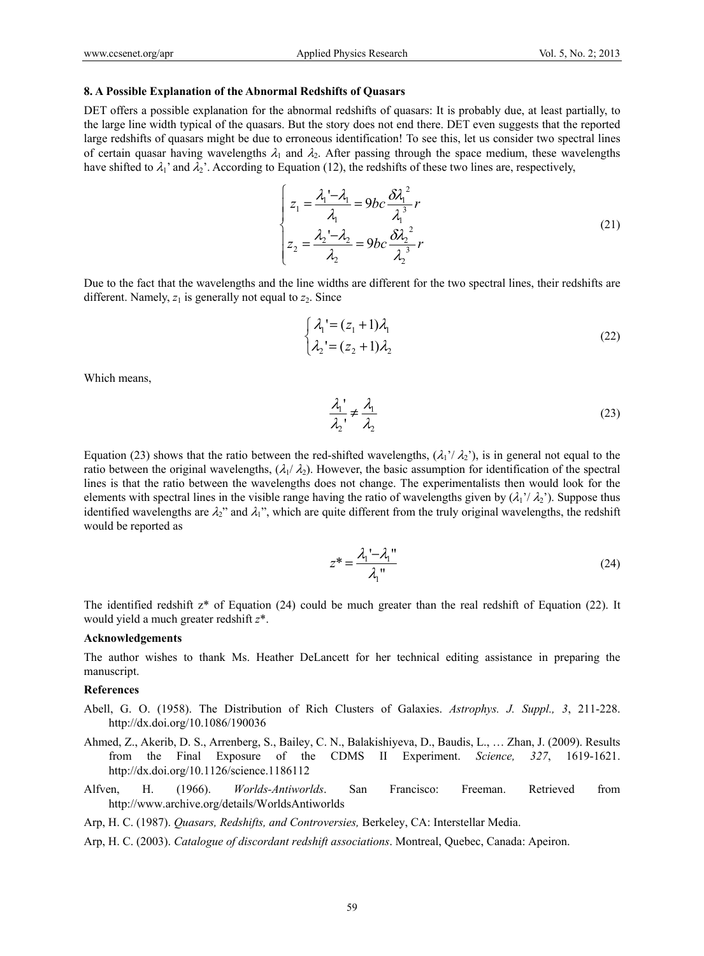#### **8. A Possible Explanation of the Abnormal Redshifts of Quasars**

DET offers a possible explanation for the abnormal redshifts of quasars: It is probably due, at least partially, to the large line width typical of the quasars. But the story does not end there. DET even suggests that the reported large redshifts of quasars might be due to erroneous identification! To see this, let us consider two spectral lines of certain quasar having wavelengths  $\lambda_1$  and  $\lambda_2$ . After passing through the space medium, these wavelengths have shifted to  $\lambda_1$ ' and  $\lambda_2$ '. According to Equation (12), the redshifts of these two lines are, respectively,

$$
\begin{cases}\nz_1 = \frac{\lambda_1 - \lambda_1}{\lambda_1} = 9bc \frac{\delta \lambda_1^2}{\lambda_1^3} r \\
z_2 = \frac{\lambda_2 - \lambda_2}{\lambda_2} = 9bc \frac{\delta \lambda_2^2}{\lambda_2^3} r\n\end{cases}
$$
\n(21)

Due to the fact that the wavelengths and the line widths are different for the two spectral lines, their redshifts are different. Namely,  $z_1$  is generally not equal to  $z_2$ . Since

$$
\begin{cases} \lambda_1 = (z_1 + 1)\lambda_1 \\ \lambda_2 = (z_2 + 1)\lambda_2 \end{cases}
$$
 (22)

Which means,

$$
\frac{\lambda_1'}{\lambda_2'} \neq \frac{\lambda_1}{\lambda_2} \tag{23}
$$

Equation (23) shows that the ratio between the red-shifted wavelengths,  $(\lambda_1/\lambda_2)$ , is in general not equal to the ratio between the original wavelengths,  $(\lambda_1/\lambda_2)$ . However, the basic assumption for identification of the spectral lines is that the ratio between the wavelengths does not change. The experimentalists then would look for the elements with spectral lines in the visible range having the ratio of wavelengths given by  $(\lambda_1/\lambda_2)$ . Suppose thus identified wavelengths are  $\lambda_2$ " and  $\lambda_1$ ", which are quite different from the truly original wavelengths, the redshift would be reported as

$$
z^* = \frac{\lambda_1' - \lambda_1''}{\lambda_1''}
$$
 (24)

The identified redshift z\* of Equation (24) could be much greater than the real redshift of Equation (22). It would yield a much greater redshift *z*\*.

#### **Acknowledgements**

The author wishes to thank Ms. Heather DeLancett for her technical editing assistance in preparing the manuscript.

#### **References**

- Abell, G. O. (1958). The Distribution of Rich Clusters of Galaxies. *Astrophys. J. Suppl., 3*, 211-228. http://dx.doi.org/10.1086/190036
- Ahmed, Z., Akerib, D. S., Arrenberg, S., Bailey, C. N., Balakishiyeva, D., Baudis, L., … Zhan, J. (2009). Results from the Final Exposure of the CDMS II Experiment. *Science, 327*, 1619-1621. http://dx.doi.org/10.1126/science.1186112
- Alfven, H. (1966). *Worlds-Antiworlds*. San Francisco: Freeman. Retrieved from http://www.archive.org/details/WorldsAntiworlds

Arp, H. C. (1987). *Quasars, Redshifts, and Controversies,* Berkeley, CA: Interstellar Media.

Arp, H. C. (2003). *Catalogue of discordant redshift associations*. Montreal, Quebec, Canada: Apeiron.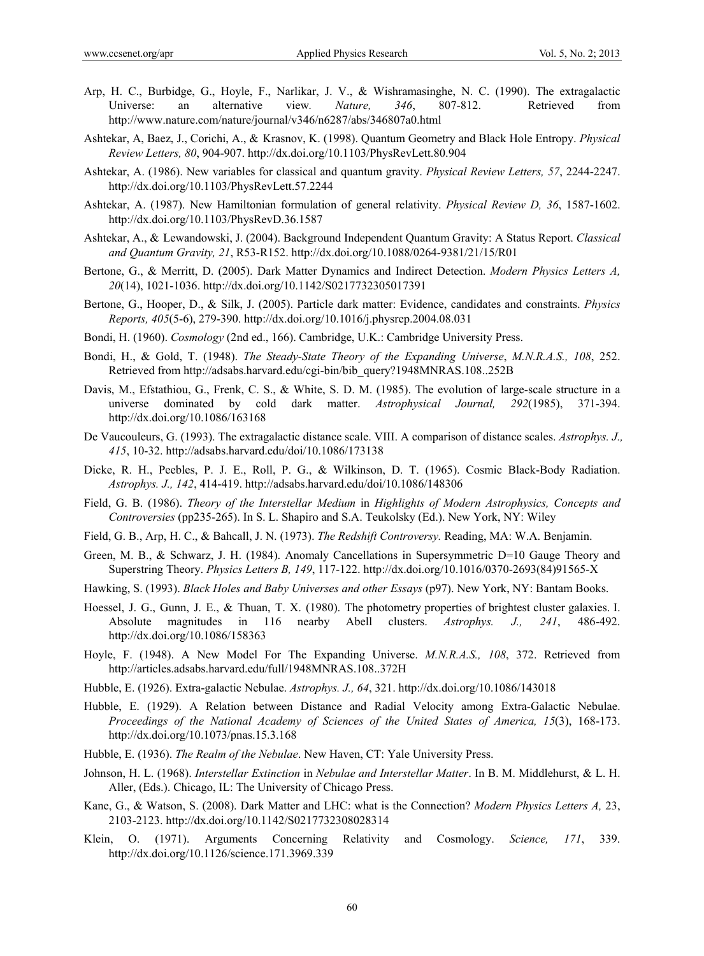- Arp, H. C., Burbidge, G., Hoyle, F., Narlikar, J. V., & Wishramasinghe, N. C. (1990). The extragalactic Universe: an alternative view*. Nature, 346*, 807-812. Retrieved from http://www.nature.com/nature/journal/v346/n6287/abs/346807a0.html
- Ashtekar, A, Baez, J., Corichi, A., & Krasnov, K. (1998). Quantum Geometry and Black Hole Entropy. *Physical Review Letters, 80*, 904-907. http://dx.doi.org/10.1103/PhysRevLett.80.904
- Ashtekar, A. (1986). New variables for classical and quantum gravity. *Physical Review Letters, 57*, 2244-2247. http://dx.doi.org/10.1103/PhysRevLett.57.2244
- Ashtekar, A. (1987). New Hamiltonian formulation of general relativity. *Physical Review D, 36*, 1587-1602. http://dx.doi.org/10.1103/PhysRevD.36.1587
- Ashtekar, A., & Lewandowski, J. (2004). Background Independent Quantum Gravity: A Status Report. *Classical and Quantum Gravity, 21*, R53-R152. http://dx.doi.org/10.1088/0264-9381/21/15/R01
- Bertone, G., & Merritt, D. (2005). Dark Matter Dynamics and Indirect Detection. *Modern Physics Letters A, 20*(14), 1021-1036. http://dx.doi.org/10.1142/S0217732305017391
- Bertone, G., Hooper, D., & Silk, J. (2005). Particle dark matter: Evidence, candidates and constraints. *Physics Reports, 405*(5-6), 279-390. http://dx.doi.org/10.1016/j.physrep.2004.08.031
- Bondi, H. (1960). *Cosmology* (2nd ed., 166). Cambridge, U.K.: Cambridge University Press.
- Bondi, H., & Gold, T. (1948). *The Steady-State Theory of the Expanding Universe*, *M.N.R.A.S., 108*, 252. Retrieved from http://adsabs.harvard.edu/cgi-bin/bib\_query?1948MNRAS.108..252B
- Davis, M., Efstathiou, G., Frenk, C. S., & White, S. D. M. (1985). The evolution of large-scale structure in a universe dominated by cold dark matter. *Astrophysical Journal, 292*(1985), 371-394. http://dx.doi.org/10.1086/163168
- De Vaucouleurs, G. (1993). The extragalactic distance scale. VIII. A comparison of distance scales. *Astrophys. J., 415*, 10-32. http://adsabs.harvard.edu/doi/10.1086/173138
- Dicke, R. H., Peebles, P. J. E., Roll, P. G., & Wilkinson, D. T. (1965). Cosmic Black-Body Radiation. *Astrophys. J., 142*, 414-419. http://adsabs.harvard.edu/doi/10.1086/148306
- Field, G. B. (1986). *Theory of the Interstellar Medium* in *Highlights of Modern Astrophysics, Concepts and Controversies* (pp235-265). In S. L. Shapiro and S.A. Teukolsky (Ed.). New York, NY: Wiley
- Field, G. B., Arp, H. C., & Bahcall, J. N. (1973). *The Redshift Controversy.* Reading, MA: W.A. Benjamin.
- Green, M. B., & Schwarz, J. H. (1984). Anomaly Cancellations in Supersymmetric D=10 Gauge Theory and Superstring Theory. *Physics Letters B, 149*, 117-122. http://dx.doi.org/10.1016/0370-2693(84)91565-X
- Hawking, S. (1993). *Black Holes and Baby Universes and other Essays* (p97). New York, NY: Bantam Books.
- Hoessel, J. G., Gunn, J. E., & Thuan, T. X. (1980). The photometry properties of brightest cluster galaxies. I. Absolute magnitudes in 116 nearby Abell clusters. *Astrophys. J., 241*, 486-492. http://dx.doi.org/10.1086/158363
- Hoyle, F. (1948). A New Model For The Expanding Universe. *M.N.R.A.S., 108*, 372. Retrieved from http://articles.adsabs.harvard.edu/full/1948MNRAS.108..372H
- Hubble, E. (1926). Extra-galactic Nebulae. *Astrophys. J., 64*, 321. http://dx.doi.org/10.1086/143018
- Hubble, E. (1929). A Relation between Distance and Radial Velocity among Extra-Galactic Nebulae. *Proceedings of the National Academy of Sciences of the United States of America, 15*(3), 168-173. http://dx.doi.org/10.1073/pnas.15.3.168
- Hubble, E. (1936). *The Realm of the Nebulae*. New Haven, CT: Yale University Press.
- Johnson, H. L. (1968). *Interstellar Extinction* in *Nebulae and Interstellar Matter*. In B. M. Middlehurst, & L. H. Aller, (Eds.). Chicago, IL: The University of Chicago Press.
- Kane, G., & Watson, S. (2008). Dark Matter and LHC: what is the Connection? *Modern Physics Letters A,* 23, 2103-2123. http://dx.doi.org/10.1142/S0217732308028314
- Klein, O. (1971). Arguments Concerning Relativity and Cosmology. *Science, 171*, 339. http://dx.doi.org/10.1126/science.171.3969.339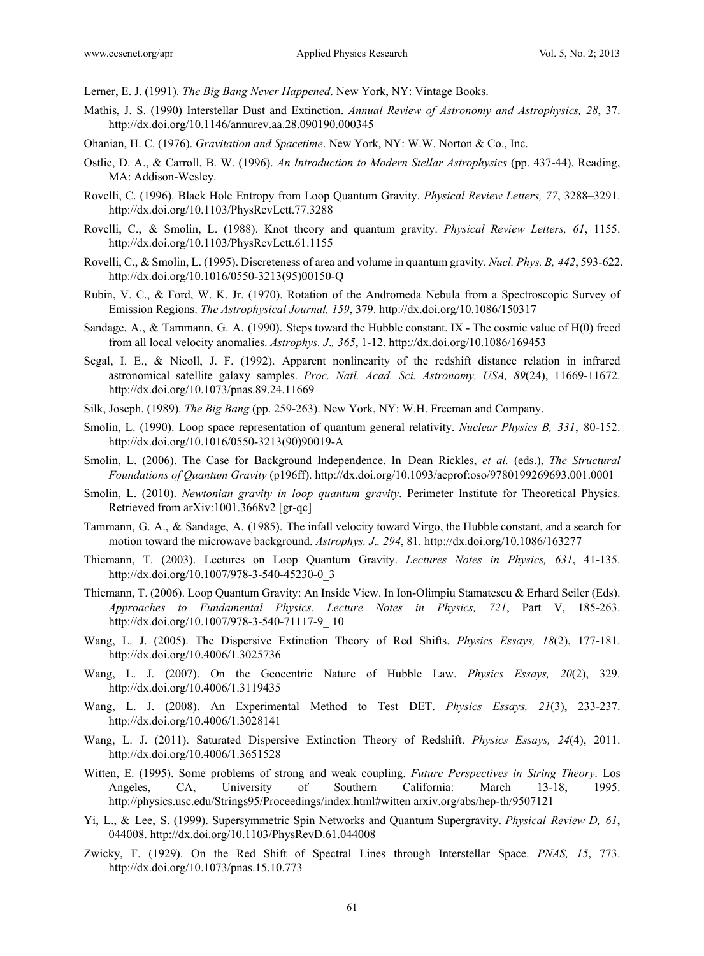Lerner, E. J. (1991). *The Big Bang Never Happened*. New York, NY: Vintage Books.

- Mathis, J. S. (1990) Interstellar Dust and Extinction. *Annual Review of Astronomy and Astrophysics, 28*, 37. http://dx.doi.org/10.1146/annurev.aa.28.090190.000345
- Ohanian, H. C. (1976). *Gravitation and Spacetime*. New York, NY: W.W. Norton & Co., Inc.
- Ostlie, D. A., & Carroll, B. W. (1996). *An Introduction to Modern Stellar Astrophysics* (pp. 437-44). Reading, MA: Addison-Wesley.
- Rovelli, C. (1996). Black Hole Entropy from Loop Quantum Gravity. *Physical Review Letters, 77*, 3288–3291. http://dx.doi.org/10.1103/PhysRevLett.77.3288
- Rovelli, C., & Smolin, L. (1988). Knot theory and quantum gravity. *Physical Review Letters, 61*, 1155. http://dx.doi.org/10.1103/PhysRevLett.61.1155
- Rovelli, C., & Smolin, L. (1995). Discreteness of area and volume in quantum gravity. *Nucl. Phys. B, 442*, 593-622. http://dx.doi.org/10.1016/0550-3213(95)00150-Q
- Rubin, V. C., & Ford, W. K. Jr. (1970). Rotation of the Andromeda Nebula from a Spectroscopic Survey of Emission Regions. *The Astrophysical Journal, 159*, 379. http://dx.doi.org/10.1086/150317
- Sandage, A., & Tammann, G. A. (1990). Steps toward the Hubble constant. IX The cosmic value of H(0) freed from all local velocity anomalies. *Astrophys. J*.*, 365*, 1-12. http://dx.doi.org/10.1086/169453
- Segal, I. E., & Nicoll, J. F. (1992). Apparent nonlinearity of the redshift distance relation in infrared astronomical satellite galaxy samples. *Proc. Natl. Acad. Sci. Astronomy, USA, 89*(24), 11669-11672. http://dx.doi.org/10.1073/pnas.89.24.11669
- Silk, Joseph. (1989). *The Big Bang* (pp. 259-263). New York, NY: W.H. Freeman and Company.
- Smolin, L. (1990). Loop space representation of quantum general relativity. *Nuclear Physics B, 331*, 80-152. http://dx.doi.org/10.1016/0550-3213(90)90019-A
- Smolin, L. (2006). The Case for Background Independence. In Dean Rickles, *et al.* (eds.), *The Structural Foundations of Quantum Gravity* (p196ff). http://dx.doi.org/10.1093/acprof:oso/9780199269693.001.0001
- Smolin, L. (2010). *Newtonian gravity in loop quantum gravity*. Perimeter Institute for Theoretical Physics. Retrieved from arXiv:1001.3668v2 [gr-qc]
- Tammann, G. A., & Sandage, A. (1985). The infall velocity toward Virgo, the Hubble constant, and a search for motion toward the microwave background. *Astrophys. J*.*, 294*, 81. http://dx.doi.org/10.1086/163277
- Thiemann, T. (2003). Lectures on Loop Quantum Gravity. *Lectures Notes in Physics, 631*, 41-135. http://dx.doi.org/10.1007/978-3-540-45230-0\_3
- Thiemann, T. (2006). Loop Quantum Gravity: An Inside View. In Ion-Olimpiu Stamatescu & Erhard Seiler (Eds). *Approaches to Fundamental Physics*. *Lecture Notes in Physics, 721*, Part V, 185-263. http://dx.doi.org/10.1007/978-3-540-71117-9\_ 10
- Wang, L. J. (2005). The Dispersive Extinction Theory of Red Shifts. *Physics Essays, 18*(2), 177-181. http://dx.doi.org/10.4006/1.3025736
- Wang, L. J. (2007). On the Geocentric Nature of Hubble Law. *Physics Essays, 20*(2), 329. http://dx.doi.org/10.4006/1.3119435
- Wang, L. J. (2008). An Experimental Method to Test DET. *Physics Essays, 21*(3), 233-237. http://dx.doi.org/10.4006/1.3028141
- Wang, L. J. (2011). Saturated Dispersive Extinction Theory of Redshift. *Physics Essays, 24*(4), 2011. http://dx.doi.org/10.4006/1.3651528
- Witten, E. (1995). Some problems of strong and weak coupling. *Future Perspectives in String Theory*. Los Angeles, CA, University of Southern California: March 13-18, 1995. http://physics.usc.edu/Strings95/Proceedings/index.html#witten arxiv.org/abs/hep-th/9507121
- Yi, L., & Lee, S. (1999). Supersymmetric Spin Networks and Quantum Supergravity. *Physical Review D, 61*, 044008. http://dx.doi.org/10.1103/PhysRevD.61.044008
- Zwicky, F. (1929). On the Red Shift of Spectral Lines through Interstellar Space. *PNAS, 15*, 773. http://dx.doi.org/10.1073/pnas.15.10.773